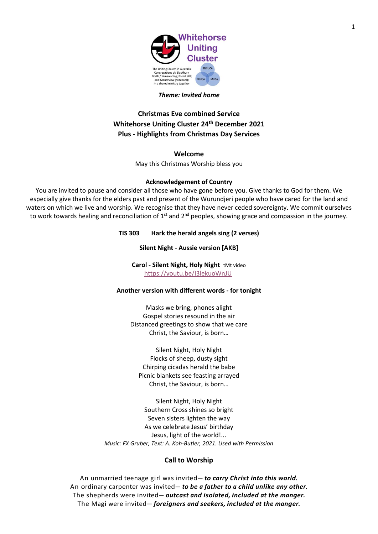

#### *Theme: Invited home*

# **Christmas Eve combined Service Whitehorse Uniting Cluster 24th December 2021 Plus - Highlights from Christmas Day Services**

#### **Welcome**

May this Christmas Worship bless you

#### **Acknowledgement of Country**

You are invited to pause and consider all those who have gone before you. Give thanks to God for them. We especially give thanks for the elders past and present of the Wurundjeri people who have cared for the land and waters on which we live and worship. We recognise that they have never ceded sovereignty. We commit ourselves to work towards healing and reconciliation of  $1^{st}$  and  $2^{nd}$  peoples, showing grace and compassion in the journey.

#### **TIS 303 Hark the herald angels sing (2 verses)**

#### **Silent Night - Aussie version [AKB]**

**Carol - Silent Night, Holy Night** tMt video <https://youtu.be/I3lekuoWnJU>

#### **Another version with different words - for tonight**

Masks we bring, phones alight Gospel stories resound in the air Distanced greetings to show that we care Christ, the Saviour, is born…

Silent Night, Holy Night Flocks of sheep, dusty sight Chirping cicadas herald the babe Picnic blankets see feasting arrayed Christ, the Saviour, is born…

Silent Night, Holy Night Southern Cross shines so bright Seven sisters lighten the way As we celebrate Jesus' birthday Jesus, light of the world!... *Music: FX Gruber, Text: A. Koh-Butler, 2021. Used with Permission*

## **Call to Worship**

An unmarried teenage girl was invited— *to carry Christ into this world.* An ordinary carpenter was invited— *to be a father to a child unlike any other.* The shepherds were invited— *outcast and isolated, included at the manger.* The Magi were invited— *foreigners and seekers, included at the manger.*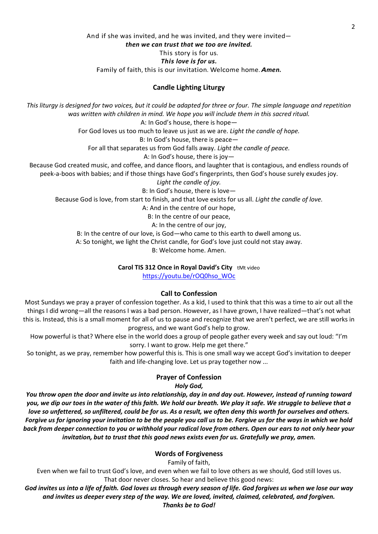# And if she was invited, and he was invited, and they were invited *then we can trust that we too are invited.* This story is for us. *This love is for us.* Family of faith, this is our invitation. Welcome home. *Amen.*

# **Candle Lighting Liturgy**

*This liturgy is designed for two voices, but it could be adapted for three or four. The simple language and repetition was written with children in mind. We hope you will include them in this sacred ritual.* A: In God's house, there is hope— For God loves us too much to leave us just as we are. *Light the candle of hope.* B: In God's house, there is peace— For all that separates us from God falls away. *Light the candle of peace.* A: In God's house, there is joy— Because God created music, and coffee, and dance floors, and laughter that is contagious, and endless rounds of peek-a-boos with babies; and if those things have God's fingerprints, then God's house surely exudes joy. *Light the candle of joy.* B: In God's house, there is love— Because God is love, from start to finish, and that love exists for us all. *Light the candle of love.* A: And in the centre of our hope,

B: In the centre of our peace,

A: In the centre of our joy,

B: In the centre of our love, is God—who came to this earth to dwell among us.

A: So tonight, we light the Christ candle, for God's love just could not stay away.

B: Welcome home. Amen.

**Carol TIS 312 Once in Royal David's City** tMt video

[https://youtu.be/rOQ0hso\\_WOc](https://youtu.be/rOQ0hso_WOc)

## **Call to Confession**

Most Sundays we pray a prayer of confession together. As a kid, I used to think that this was a time to air out all the things I did wrong—all the reasons I was a bad person. However, as I have grown, I have realized—that's not what this is. Instead, this is a small moment for all of us to pause and recognize that we aren't perfect, we are still works in progress, and we want God's help to grow.

How powerful is that? Where else in the world does a group of people gather every week and say out loud: "I'm sorry. I want to grow. Help me get there."

So tonight, as we pray, remember how powerful this is. This is one small way we accept God's invitation to deeper faith and life-changing love. Let us pray together now ...

## **Prayer of Confession**

*Holy God,*

*You throw open the door and invite us into relationship, day in and day out. However, instead of running toward you, we dip our toes in the water of this faith. We hold our breath. We play it safe. We struggle to believe that a love so unfettered, so unfiltered, could be for us. As a result, we often deny this worth for ourselves and others. Forgive us for ignoring your invitation to be the people you call us to be. Forgive us for the ways in which we hold back from deeper connection to you or withhold your radical love from others. Open our ears to not only hear your invitation, but to trust that this good news exists even for us. Gratefully we pray, amen.*

## **Words of Forgiveness**

Family of faith,

Even when we fail to trust God's love, and even when we fail to love others as we should, God still loves us. That door never closes. So hear and believe this good news:

*God invites us into a life of faith. God loves us through every season of life. God forgives us when we lose our way and invites us deeper every step of the way. We are loved, invited, claimed, celebrated, and forgiven.* 

#### *Thanks be to God!*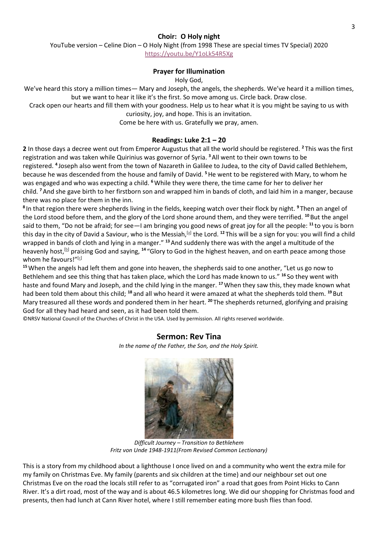## **Choir: O Holy night**

YouTube version – Celine Dion – O Holy Night (from 1998 These are special times TV Special) 2020

<https://youtu.be/Y1oLk54R5Xg>

## **Prayer for Illumination**

Holy God,

We've heard this story a million times— Mary and Joseph, the angels, the shepherds. We've heard it a million times, but we want to hear it like it's the first. So move among us. Circle back. Draw close.

Crack open our hearts and fill them with your goodness. Help us to hear what it is you might be saying to us with curiosity, joy, and hope. This is an invitation.

Come be here with us. Gratefully we pray, amen.

## **Readings: Luke 2:1 – 20**

**2** In those days a decree went out from Emperor Augustus that all the world should be registered. **<sup>2</sup>** This was the first registration and was taken while Quirinius was governor of Syria. **<sup>3</sup>**All went to their own towns to be registered. **<sup>4</sup>** Joseph also went from the town of Nazareth in Galilee to Judea, to the city of David called Bethlehem, because he was descended from the house and family of David. **<sup>5</sup>**He went to be registered with Mary, to whom he was engaged and who was expecting a child. **<sup>6</sup>**While they were there, the time came for her to deliver her child. **<sup>7</sup>**And she gave birth to her firstborn son and wrapped him in bands of cloth, and laid him in a manger, because there was no place for them in the inn.

**8** In that region there were shepherds living in the fields, keeping watch over their flock by night. **<sup>9</sup>** Then an angel of the Lord stood before them, and the glory of the Lord shone around them, and they were terrified. **<sup>10</sup>** But the angel said to them, "Do not be afraid; for see—I am bringing you good news of great joy for all the people: **<sup>11</sup>** to you is born this day in the city of David a Saviour, who is the Messiah,<sup>[\[a\]](https://www.biblegateway.com/passage/?search=Luke+2%3A1-20&version=NRSV#fen-NRSV-24977a)</sup> the Lord. <sup>12</sup> This will be a sign for you: you will find a child wrapped in bands of cloth and lying in a manger." **<sup>13</sup>**And suddenly there was with the angel a multitude of the heavenly host,[\[b\]](https://www.biblegateway.com/passage/?search=Luke+2%3A1-20&version=NRSV#fen-NRSV-24979b) praising God and saying, **<sup>14</sup>** "Glory to God in the highest heaven, and on earth peace among those whom he favours!"[\[c\]](https://www.biblegateway.com/passage/?search=Luke+2%3A1-20&version=NRSV#fen-NRSV-24980c)

**<sup>15</sup>**When the angels had left them and gone into heaven, the shepherds said to one another, "Let us go now to Bethlehem and see this thing that has taken place, which the Lord has made known to us." **<sup>16</sup>** So they went with haste and found Mary and Joseph, and the child lying in the manger. **<sup>17</sup>**When they saw this, they made known what had been told them about this child; **<sup>18</sup>** and all who heard it were amazed at what the shepherds told them. **<sup>19</sup>** But Mary treasured all these words and pondered them in her heart. **<sup>20</sup>** The shepherds returned, glorifying and praising God for all they had heard and seen, as it had been told them.

©NRSV National Council of the Churches of Christ in the USA. Used by permission. All rights reserved worldwide.

# **Sermon: Rev Tina**

*In the name of the Father, the Son, and the Holy Spirit.*

*Difficult Journey – Transition to Bethlehem Fritz von Unde 1948-1911(From Revised Common Lectionary)*

This is a story from my childhood about a lighthouse I once lived on and a community who went the extra mile for my family on Christmas Eve. My family (parents and six children at the time) and our neighbour set out one Christmas Eve on the road the locals still refer to as "corrugated iron" a road that goes from Point Hicks to Cann River. It's a dirt road, most of the way and is about 46.5 kilometres long. We did our shopping for Christmas food and presents, then had lunch at Cann River hotel, where I still remember eating more bush flies than food.

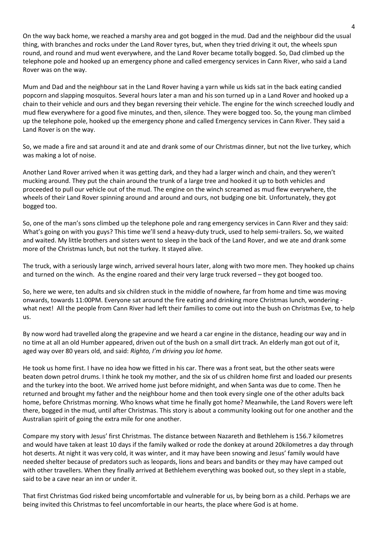On the way back home, we reached a marshy area and got bogged in the mud. Dad and the neighbour did the usual thing, with branches and rocks under the Land Rover tyres, but, when they tried driving it out, the wheels spun round, and round and mud went everywhere, and the Land Rover became totally bogged. So, Dad climbed up the telephone pole and hooked up an emergency phone and called emergency services in Cann River, who said a Land Rover was on the way.

Mum and Dad and the neighbour sat in the Land Rover having a yarn while us kids sat in the back eating candied popcorn and slapping mosquitos. Several hours later a man and his son turned up in a Land Rover and hooked up a chain to their vehicle and ours and they began reversing their vehicle. The engine for the winch screeched loudly and mud flew everywhere for a good five minutes, and then, silence. They were bogged too. So, the young man climbed up the telephone pole, hooked up the emergency phone and called Emergency services in Cann River. They said a Land Rover is on the way.

So, we made a fire and sat around it and ate and drank some of our Christmas dinner, but not the live turkey, which was making a lot of noise.

Another Land Rover arrived when it was getting dark, and they had a larger winch and chain, and they weren't mucking around. They put the chain around the trunk of a large tree and hooked it up to both vehicles and proceeded to pull our vehicle out of the mud. The engine on the winch screamed as mud flew everywhere, the wheels of their Land Rover spinning around and around and ours, not budging one bit. Unfortunately, they got bogged too.

So, one of the man's sons climbed up the telephone pole and rang emergency services in Cann River and they said: What's going on with you guys? This time we'll send a heavy-duty truck, used to help semi-trailers. So, we waited and waited. My little brothers and sisters went to sleep in the back of the Land Rover, and we ate and drank some more of the Christmas lunch, but not the turkey. It stayed alive.

The truck, with a seriously large winch, arrived several hours later, along with two more men. They hooked up chains and turned on the winch. As the engine roared and their very large truck reversed – they got booged too.

So, here we were, ten adults and six children stuck in the middle of nowhere, far from home and time was moving onwards, towards 11:00PM. Everyone sat around the fire eating and drinking more Christmas lunch, wondering what next! All the people from Cann River had left their families to come out into the bush on Christmas Eve, to help us.

By now word had travelled along the grapevine and we heard a car engine in the distance, heading our way and in no time at all an old Humber appeared, driven out of the bush on a small dirt track. An elderly man got out of it, aged way over 80 years old, and said: *Righto, I'm driving you lot home.*

He took us home first. I have no idea how we fitted in his car. There was a front seat, but the other seats were beaten down petrol drums. I think he took my mother, and the six of us children home first and loaded our presents and the turkey into the boot. We arrived home just before midnight, and when Santa was due to come. Then he returned and brought my father and the neighbour home and then took every single one of the other adults back home, before Christmas morning. Who knows what time he finally got home? Meanwhile, the Land Rovers were left there, bogged in the mud, until after Christmas. This story is about a community looking out for one another and the Australian spirit of going the extra mile for one another.

Compare my story with Jesus' first Christmas. The distance between Nazareth and Bethlehem is 156.7 kilometres and would have taken at least 10 days if the family walked or rode the donkey at around 20kilometres a day through hot deserts. At night it was very cold, it was winter, and it may have been snowing and Jesus' family would have needed shelter because of predators such as leopards, lions and bears and bandits or they may have camped out with other travellers. When they finally arrived at Bethlehem everything was booked out, so they slept in a stable, said to be a cave near an inn or under it.

That first Christmas God risked being uncomfortable and vulnerable for us, by being born as a child. Perhaps we are being invited this Christmas to feel uncomfortable in our hearts, the place where God is at home.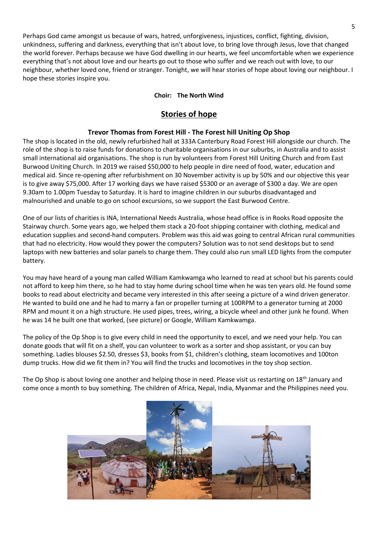Perhaps God came amongst us because of wars, hatred, unforgiveness, injustices, conflict, fighting, division, unkindness, suffering and darkness, everything that isn't about love, to bring love through Jesus, love that changed the world forever. Perhaps because we have God dwelling in our hearts, we feel uncomfortable when we experience everything that's not about love and our hearts go out to those who suffer and we reach out with love, to our neighbour, whether loved one, friend or stranger. Tonight, we will hear stories of hope about loving our neighbour. I hope these stories inspire you.

# **Choir: The North Wind**

# **Stories of hope**

# **Trevor Thomas from Forest Hill - The Forest hill Uniting Op Shop**

The shop is located in the old, newly refurbished hall at 333A Canterbury Road Forest Hill alongside our church. The role of the shop is to raise funds for donations to charitable organisations in our suburbs, in Australia and to assist small international aid organisations. The shop is run by volunteers from Forest Hill Uniting Church and from East Burwood Uniting Church. In 2019 we raised \$50,000 to help people in dire need of food, water, education and medical aid. Since re-opening after refurbishment on 30 November activity is up by 50% and our objective this year is to give away \$75,000. After 17 working days we have raised \$5300 or an average of \$300 a day. We are open 9.30am to 1.00pm Tuesday to Saturday. It is hard to imagine children in our suburbs disadvantaged and malnourished and unable to go on school excursions, so we support the East Burwood Centre.

One of our lists of charities is INA, International Needs Australia, whose head office is in Rooks Road opposite the Stairway church. Some years ago, we helped them stack a 20-foot shipping container with clothing, medical and education supplies and second-hand computers. Problem was this aid was going to central African rural communities that had no electricity. How would they power the computers? Solution was to not send desktops but to send laptops with new batteries and solar panels to charge them. They could also run small LED lights from the computer battery.

You may have heard of a young man called William Kamkwamga who learned to read at school but his parents could not afford to keep him there, so he had to stay home during school time when he was ten years old. He found some books to read about electricity and became very interested in this after seeing a picture of a wind driven generator. He wanted to build one and he had to marry a fan or propeller turning at 100RPM to a generator turning at 2000 RPM and mount it on a high structure. He used pipes, trees, wiring, a bicycle wheel and other junk he found. When he was 14 he built one that worked, (see picture) or Google, William Kamkwamga.

The policy of the Op Shop is to give every child in need the opportunity to excel, and we need your help. You can donate goods that will fit on a shelf, you can volunteer to work as a sorter and shop assistant, or you can buy something. Ladies blouses \$2.50, dresses \$3, books from \$1, children's clothing, steam locomotives and 100ton dump trucks. How did we fit them in? You will find the trucks and locomotives in the toy shop section.

The Op Shop is about loving one another and helping those in need. Please visit us restarting on 18<sup>th</sup> January and come once a month to buy something. The children of Africa, Nepal, India, Myanmar and the Philippines need you.

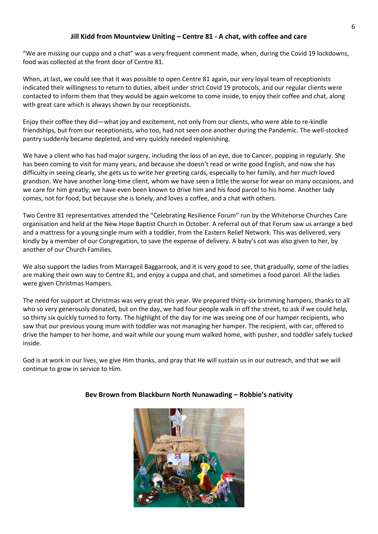# **Jill Kidd from Mountview Uniting – Centre 81 - A chat, with coffee and care**

"We are missing our cuppa and a chat" was a very frequent comment made, when, during the Covid 19 lockdowns, food was collected at the front door of Centre 81.

When, at last, we could see that it was possible to open Centre 81 again, our very loyal team of receptionists indicated their willingness to return to duties, albeit under strict Covid 19 protocols, and our regular clients were contacted to inform them that they would be again welcome to come inside, to enjoy their coffee and chat, along with great care which is always shown by our receptionists.

Enjoy their coffee they did—what joy and excitement, not only from our clients, who were able to re-kindle friendships, but from our receptionists, who too, had not seen one another during the Pandemic. The well-stocked pantry suddenly became depleted, and very quickly needed replenishing.

We have a client who has had major surgery, including the loss of an eye, due to Cancer, popping in regularly. She has been coming to visit for many years, and because she doesn't read or write good English, and now she has difficulty in seeing clearly, she gets us to write her greeting cards, especially to her family, and her much loved grandson. We have another long-time client, whom we have seen a little the worse for wear on many occasions, and we care for him greatly; we have even been known to drive him and his food parcel to his home. Another lady comes, not for food, but because she is lonely, and loves a coffee, and a chat with others.

Two Centre 81 representatives attended the "Celebrating Resilience Forum" run by the Whitehorse Churches Care organisation and held at the New Hope Baptist Church in October. A referral out of that Forum saw us arrange a bed and a mattress for a young single mum with a toddler, from the Eastern Relief Network. This was delivered, very kindly by a member of our Congregation, to save the expense of delivery. A baby's cot was also given to her, by another of our Church Families.

We also support the ladies from Marrageil Baggarrook, and it is very good to see, that gradually, some of the ladies are making their own way to Centre 81, and enjoy a cuppa and chat, and sometimes a food parcel. All the ladies were given Christmas Hampers.

The need for support at Christmas was very great this year. We prepared thirty-six brimming hampers, thanks to all who so very generously donated, but on the day, we had four people walk in off the street, to ask if we could help, so thirty six quickly turned to forty. The highlight of the day for me was seeing one of our hamper recipients, who saw that our previous young mum with toddler was not managing her hamper. The recipient, with car, offered to drive the hamper to her home, and wait while our young mum walked home, with pusher, and toddler safely tucked inside.

God is at work in our lives, we give Him thanks, and pray that He will sustain us in our outreach, and that we will continue to grow in service to Him.



# **Bev Brown from Blackburn North Nunawading – Robbie's nativity**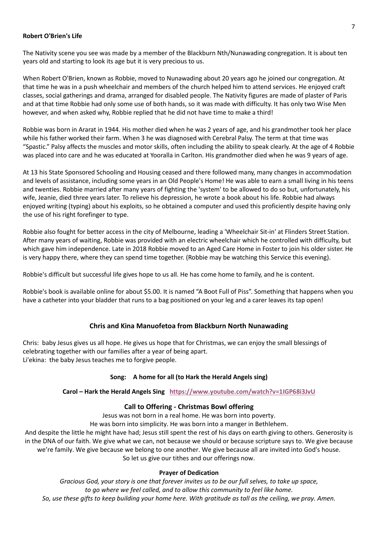#### **Robert O'Brien's Life**

The Nativity scene you see was made by a member of the Blackburn Nth/Nunawading congregation. It is about ten years old and starting to look its age but it is very precious to us.

When Robert O'Brien, known as Robbie, moved to Nunawading about 20 years ago he joined our congregation. At that time he was in a push wheelchair and members of the church helped him to attend services. He enjoyed craft classes, social gatherings and drama, arranged for disabled people. The Nativity figures are made of plaster of Paris and at that time Robbie had only some use of both hands, so it was made with difficulty. It has only two Wise Men however, and when asked why, Robbie replied that he did not have time to make a third!

Robbie was born in Ararat in 1944. His mother died when he was 2 years of age, and his grandmother took her place while his father worked their farm. When 3 he was diagnosed with Cerebral Palsy. The term at that time was "Spastic." Palsy affects the muscles and motor skills, often including the ability to speak clearly. At the age of 4 Robbie was placed into care and he was educated at Yooralla in Carlton. His grandmother died when he was 9 years of age.

At 13 his State Sponsored Schooling and Housing ceased and there followed many, many changes in accommodation and levels of assistance, including some years in an Old People's Home! He was able to earn a small living in his teens and twenties. Robbie married after many years of fighting the 'system' to be allowed to do so but, unfortunately, his wife, Jeanie, died three years later. To relieve his depression, he wrote a book about his life. Robbie had always enjoyed writing (typing) about his exploits, so he obtained a computer and used this proficiently despite having only the use of his right forefinger to type.

Robbie also fought for better access in the city of Melbourne, leading a 'Wheelchair Sit-in' at Flinders Street Station. After many years of waiting, Robbie was provided with an electric wheelchair which he controlled with difficulty, but which gave him independence. Late in 2018 Robbie moved to an Aged Care Home in Foster to join his older sister. He is very happy there, where they can spend time together. (Robbie may be watching this Service this evening).

Robbie's difficult but successful life gives hope to us all. He has come home to family, and he is content.

Robbie's book is available online for about \$5.00. It is named "A Boot Full of Piss". Something that happens when you have a catheter into your bladder that runs to a bag positioned on your leg and a carer leaves its tap open!

## **Chris and Kina Manuofetoa from Blackburn North Nunawading**

Chris: baby Jesus gives us all hope. He gives us hope that for Christmas, we can enjoy the small blessings of celebrating together with our families after a year of being apart. Li'ekina: the baby Jesus teaches me to forgive people.

## **Song: A home for all (to Hark the Herald Angels sing)**

## **Carol – Hark the Herald Angels Sing <https://www.youtube.com/watch?v=1IGP68i3JvU>**

## **Call to Offering - Christmas Bowl offering**

Jesus was not born in a real home. He was born into poverty.

He was born into simplicity. He was born into a manger in Bethlehem.

And despite the little he might have had; Jesus still spent the rest of his days on earth giving to others. Generosity is in the DNA of our faith. We give what we can, not because we should or because scripture says to. We give because we're family. We give because we belong to one another. We give because all are invited into God's house. So let us give our tithes and our offerings now.

#### **Prayer of Dedication**

*Gracious God, your story is one that forever invites us to be our full selves, to take up space, to go where we feel called, and to allow this community to feel like home. So, use these gifts to keep building your home here. With gratitude as tall as the ceiling, we pray. Amen.*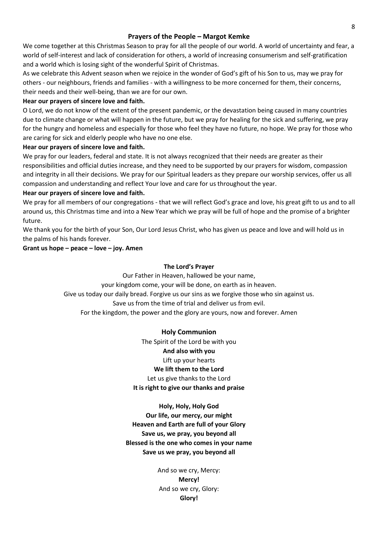#### **Prayers of the People – Margot Kemke**

We come together at this Christmas Season to pray for all the people of our world. A world of uncertainty and fear, a world of self-interest and lack of consideration for others, a world of increasing consumerism and self-gratification and a world which is losing sight of the wonderful Spirit of Christmas.

As we celebrate this Advent season when we rejoice in the wonder of God's gift of his Son to us, may we pray for others - our neighbours, friends and families - with a willingness to be more concerned for them, their concerns, their needs and their well-being, than we are for our own.

#### **Hear our prayers of sincere love and faith.**

O Lord, we do not know of the extent of the present pandemic, or the devastation being caused in many countries due to climate change or what will happen in the future, but we pray for healing for the sick and suffering, we pray for the hungry and homeless and especially for those who feel they have no future, no hope. We pray for those who are caring for sick and elderly people who have no one else.

## **Hear our prayers of sincere love and faith.**

We pray for our leaders, federal and state. It is not always recognized that their needs are greater as their responsibilities and official duties increase, and they need to be supported by our prayers for wisdom, compassion and integrity in all their decisions. We pray for our Spiritual leaders as they prepare our worship services, offer us all compassion and understanding and reflect Your love and care for us throughout the year.

#### **Hear our prayers of sincere love and faith.**

We pray for all members of our congregations - that we will reflect God's grace and love, his great gift to us and to all around us, this Christmas time and into a New Year which we pray will be full of hope and the promise of a brighter future.

We thank you for the birth of your Son, Our Lord Jesus Christ, who has given us peace and love and will hold us in the palms of his hands forever.

## **Grant us hope – peace – love – joy. Amen**

#### **The Lord's Prayer**

Our Father in Heaven, hallowed be your name, your kingdom come, your will be done, on earth as in heaven. Give us today our daily bread. Forgive us our sins as we forgive those who sin against us. Save us from the time of trial and deliver us from evil. For the kingdom, the power and the glory are yours, now and forever. Amen

## **Holy Communion**

The Spirit of the Lord be with you **And also with you** Lift up your hearts **We lift them to the Lord** Let us give thanks to the Lord **It is right to give our thanks and praise**

**Holy, Holy, Holy God Our life, our mercy, our might Heaven and Earth are full of your Glory Save us, we pray, you beyond all Blessed is the one who comes in your name Save us we pray, you beyond all**

> And so we cry, Mercy: **Mercy!** And so we cry, Glory: **Glory!**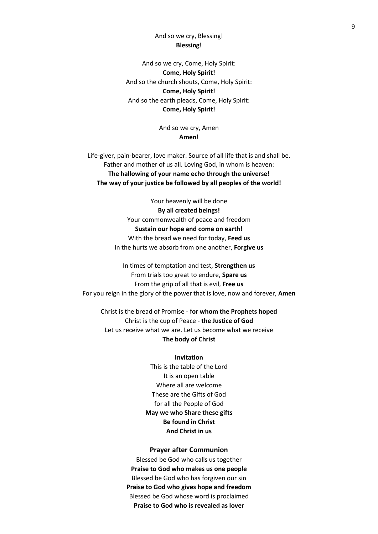# And so we cry, Blessing! **Blessing!**

And so we cry, Come, Holy Spirit: **Come, Holy Spirit!** And so the church shouts, Come, Holy Spirit: **Come, Holy Spirit!** And so the earth pleads, Come, Holy Spirit: **Come, Holy Spirit!**

> And so we cry, Amen **Amen!**

Life-giver, pain-bearer, love maker. Source of all life that is and shall be. Father and mother of us all. Loving God, in whom is heaven: **The hallowing of your name echo through the universe! The way of your justice be followed by all peoples of the world!**

> Your heavenly will be done **By all created beings!** Your commonwealth of peace and freedom **Sustain our hope and come on earth!** With the bread we need for today, **Feed us** In the hurts we absorb from one another, **Forgive us**

In times of temptation and test, **Strengthen us** From trials too great to endure, **Spare us** From the grip of all that is evil, **Free us** For you reign in the glory of the power that is love, now and forever, **Amen**

Christ is the bread of Promise - f**or whom the Prophets hoped** Christ is the cup of Peace - **the Justice of God** Let us receive what we are. Let us become what we receive **The body of Christ**

#### **Invitation**

This is the table of the Lord It is an open table Where all are welcome These are the Gifts of God for all the People of God **May we who Share these gifts Be found in Christ And Christ in us**

#### **Prayer after Communion**

Blessed be God who calls us together **Praise to God who makes us one people** Blessed be God who has forgiven our sin **Praise to God who gives hope and freedom** Blessed be God whose word is proclaimed **Praise to God who is revealed as lover**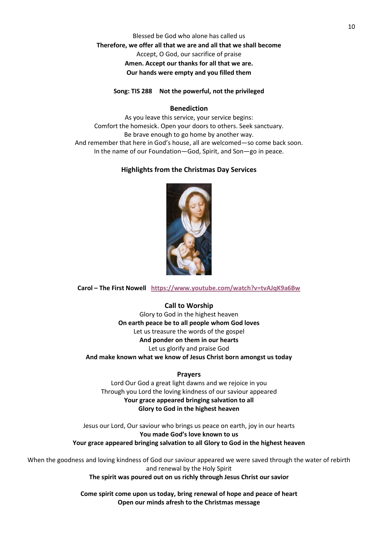# Blessed be God who alone has called us **Therefore, we offer all that we are and all that we shall become** Accept, O God, our sacrifice of praise **Amen. Accept our thanks for all that we are. Our hands were empty and you filled them**

#### **Song: TIS 288 Not the powerful, not the privileged**

#### **Benediction**

As you leave this service, your service begins: Comfort the homesick. Open your doors to others. Seek sanctuary. Be brave enough to go home by another way. And remember that here in God's house, all are welcomed—so come back soon. In the name of our Foundation—God, Spirit, and Son—go in peace.

## **Highlights from the Christmas Day Services**



**Carol – The First Nowell <https://www.youtube.com/watch?v=tvAJqK9a6Bw>**

## **Call to Worship**

Glory to God in the highest heaven **On earth peace be to all people whom God loves** Let us treasure the words of the gospel **And ponder on them in our hearts** Let us glorify and praise God **And make known what we know of Jesus Christ born amongst us today**

#### **Prayers**

Lord Our God a great light dawns and we rejoice in you Through you Lord the loving kindness of our saviour appeared **Your grace appeared bringing salvation to all Glory to God in the highest heaven**

Jesus our Lord, Our saviour who brings us peace on earth, joy in our hearts **You made God's love known to us Your grace appeared bringing salvation to all Glory to God in the highest heaven**

When the goodness and loving kindness of God our saviour appeared we were saved through the water of rebirth and renewal by the Holy Spirit **The spirit was poured out on us richly through Jesus Christ our savior**

> **Come spirit come upon us today, bring renewal of hope and peace of heart Open our minds afresh to the Christmas message**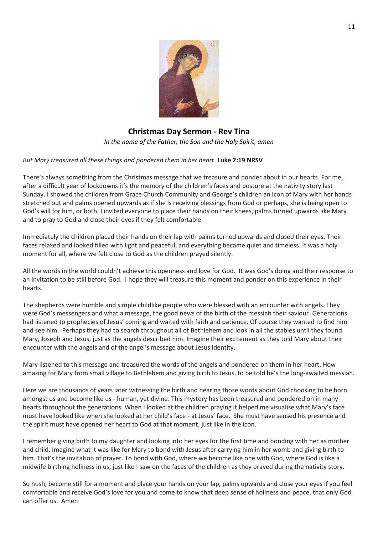

# **Christmas Day Sermon - Rev Tina**

*In the name of the Father, the Son and the Holy Spirit, amen*

# *But Mary treasured all these things and pondered them in her heart*. **Luke 2:19 NRSV**

There's always something from the Christmas message that we treasure and ponder about in our hearts. For me, after a difficult year of lockdowns it's the memory of the children's faces and posture at the nativity story last Sunday. I showed the children from Grace Church Community and George's children an icon of Mary with her hands stretched out and palms opened upwards as if she is receiving blessings from God or perhaps, she is being open to God's will for him, or both. I invited everyone to place their hands on their knees, palms turned upwards like Mary and to pray to God and close their eyes if they felt comfortable.

Immediately the children placed their hands on their lap with palms turned upwards and closed their eyes. Their faces relaxed and looked filled with light and peaceful, and everything became quiet and timeless. It was a holy moment for all, where we felt close to God as the children prayed silently.

All the words in the world couldn't achieve this openness and love for God. It was God's doing and their response to an invitation to be still before God. I hope they will treasure this moment and ponder on this experience in their hearts.

The shepherds were humble and simple childlike people who were blessed with an encounter with angels. They were God's messengers and what a message, the good news of the birth of the messiah their saviour. Generations had listened to prophecies of Jesus' coming and waited with faith and patience. Of course they wanted to find him and see him. Perhaps they had to search throughout all of Bethlehem and look in all the stables until they found Mary, Joseph and Jesus, just as the angels described him. Imagine their excitement as they told Mary about their encounter with the angels and of the angel's message about Jesus identity.

Mary listened to this message and treasured the words of the angels and pondered on them in her heart. How amazing for Mary from small village to Bethlehem and giving birth to Jesus, to be told he's the long-awaited messiah.

Here we are thousands of years later witnessing the birth and hearing those words about God choosing to be born amongst us and become like us - human, yet divine. This mystery has been treasured and pondered on in many hearts throughout the generations. When I looked at the children praying it helped me visualise what Mary's face must have looked like when she looked at her child's face - at Jesus' face. She must have sensed his presence and the spirit must have opened her heart to God at that moment, just like in the icon.

I remember giving birth to my daughter and looking into her eyes for the first time and bonding with her as mother and child. Imagine what it was like for Mary to bond with Jesus after carrying him in her womb and giving birth to him. That's the invitation of prayer. To bond with God, where we become like one with God, where God is like a midwife birthing holiness in us, just like I saw on the faces of the children as they prayed during the nativity story.

So hush, become still for a moment and place your hands on your lap, palms upwards and close your eyes if you feel comfortable and receive God's love for you and come to know that deep sense of holiness and peace, that only God can offer us. Amen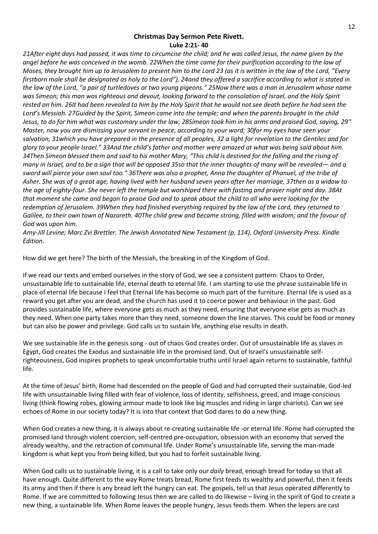## **Christmas Day Sermon Pete Rivett. Luke 2:21- 40**

*21After eight days had passed, it was time to circumcise the child; and he was called Jesus, the name given by the angel before he was conceived in the womb. 22When the time came for their purification according to the law of Moses, they brought him up to Jerusalem to present him to the Lord 23 (as it is written in the law of the Lord, "Every firstborn male shall be designated as holy to the Lord"), 24and they offered a sacrifice according to what is stated in the law of the Lord, "a pair of turtledoves or two young pigeons." 25Now there was a man in Jerusalem whose name was Simeon; this man was righteous and devout, looking forward to the consolation of Israel, and the Holy Spirit rested on him. 26It had been revealed to him by the Holy Spirit that he would not see death before he had seen the Lord's Messiah. 27Guided by the Spirit, Simeon came into the temple; and when the parents brought in the child Jesus, to do for him what was customary under the law, 28Simeon took him in his arms and praised God, saying, 29" Master, now you are dismissing your servant in peace, according to your word; 30for my eyes have seen your salvation, 31which you have prepared in the presence of all peoples, 32 a light for revelation to the Gentiles and for glory to your people Israel." 33And the child's father and mother were amazed at what was being said about him. 34Then Simeon blessed them and said to his mother Mary, "This child is destined for the falling and the rising of many in Israel, and to be a sign that will be opposed 35so that the inner thoughts of many will be revealed— and a sword will pierce your own soul too." 36There was also a prophet, Anna the daughter of Phanuel, of the tribe of Asher. She was of a great age, having lived with her husband seven years after her marriage, 37then as a widow to the age of eighty-four. She never left the temple but worshiped there with fasting and prayer night and day. 38At that moment she came and began to praise God and to speak about the child to all who were looking for the redemption of Jerusalem. 39When they had finished everything required by the law of the Lord, they returned to*  Galilee, to their own town of Nazareth. 40The child grew and became strong, filled with wisdom; and the favour of *God was upon him.*

*Amy-Jill Levine; Marc Zvi Brettler. The Jewish Annotated New Testament (p. 114). Oxford University Press. Kindle Edition.*

How did we get here? The birth of the Messiah, the breaking in of the Kingdom of God.

If we read our texts and embed ourselves in the story of God, we see a consistent pattern. Chaos to Order, unsustainable life to sustainable life, eternal death to eternal life. I am starting to use the phrase sustainable life in place of eternal life because I feel that Eternal life has become so much part of the furniture. Eternal life is used as a reward you get after you are dead, and the church has used it to coerce power and behaviour in the past. God provides sustainable life, where everyone gets as much as they need, ensuring that everyone else gets as much as they need. When one party takes more than they need, someone down the line starves. This could be food or money but can also be power and privilege. God calls us to sustain life, anything else results in death.

We see sustainable life in the genesis song - out of chaos God creates order. Out of unsustainable life as slaves in Egypt, God creates the Exodus and sustainable life in the promised land. Out of Israel's unsustainable selfrighteousness, God inspires prophets to speak uncomfortable truths until Israel again returns to sustainable, faithful life.

At the time of Jesus' birth, Rome had descended on the people of God and had corrupted their sustainable, God-led life with unsustainable living filled with fear of violence, loss of identity, selfishness, greed, and image-conscious living (think flowing robes, glowing armour made to look like big muscles and riding in large chariots). Can we see echoes of Rome in our society today? It is into that context that God dares to do a new thing.

When God creates a new thing, it is always about re-creating sustainable life -or eternal life. Rome had corrupted the promised land through violent coercion, self-centred pre-occupation, obsession with an economy that served the already wealthy, and the retraction of communal life. Under Rome's unsustainable life, serving the man-made kingdom is what kept you from being killed, but you had to forfeit sustainable living.

When God calls us to sustainable living, it is a call to take only our *daily* bread, enough bread for today so that all have enough. Quite different to the way Rome treats bread, Rome first feeds its wealthy and powerful, then it feeds its army and then if there is any bread left the hungry can eat. The gospels, tell us that Jesus operated differently to Rome. If we are committed to following Jesus then we are called to do likewise – living in the spirit of God to create a new thing, a sustainable life. When Rome leaves the people hungry, Jesus feeds them. When the lepers are cast